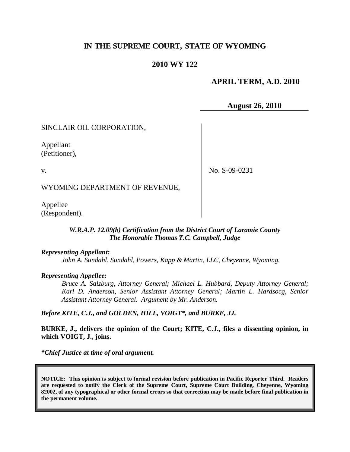# **IN THE SUPREME COURT, STATE OF WYOMING**

### **2010 WY 122**

### **APRIL TERM, A.D. 2010**

**August 26, 2010**

SINCLAIR OIL CORPORATION,

Appellant (Petitioner),

v.

No. S-09-0231

WYOMING DEPARTMENT OF REVENUE,

Appellee (Respondent).

#### *W.R.A.P. 12.09(b) Certification from the District Court of Laramie County The Honorable Thomas T.C. Campbell, Judge*

#### *Representing Appellant:*

*John A. Sundahl, Sundahl, Powers, Kapp & Martin, LLC, Cheyenne, Wyoming.*

#### *Representing Appellee:*

*Bruce A. Salzburg, Attorney General; Michael L. Hubbard, Deputy Attorney General; Karl D. Anderson, Senior Assistant Attorney General; Martin L. Hardsocg, Senior Assistant Attorney General. Argument by Mr. Anderson.*

*Before KITE, C.J., and GOLDEN, HILL, VOIGT\*, and BURKE, JJ.*

**BURKE, J., delivers the opinion of the Court; KITE, C.J., files a dissenting opinion, in which VOIGT, J., joins.**

*\*Chief Justice at time of oral argument.*

**NOTICE: This opinion is subject to formal revision before publication in Pacific Reporter Third. Readers are requested to notify the Clerk of the Supreme Court, Supreme Court Building, Cheyenne, Wyoming 82002, of any typographical or other formal errors so that correction may be made before final publication in the permanent volume.**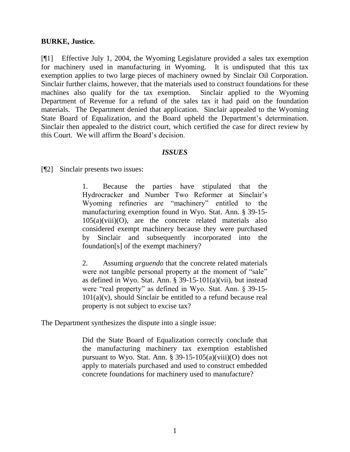### **BURKE, Justice.**

[¶1] Effective July 1, 2004, the Wyoming Legislature provided a sales tax exemption for machinery used in manufacturing in Wyoming. It is undisputed that this tax exemption applies to two large pieces of machinery owned by Sinclair Oil Corporation. Sinclair further claims, however, that the materials used to construct foundations for these machines also qualify for the tax exemption. Sinclair applied to the Wyoming Department of Revenue for a refund of the sales tax it had paid on the foundation materials. The Department denied that application. Sinclair appealed to the Wyoming State Board of Equalization, and the Board upheld the Department's determination. Sinclair then appealed to the district court, which certified the case for direct review by this Court. We will affirm the Board"s decision.

## *ISSUES*

[¶2] Sinclair presents two issues:

1. Because the parties have stipulated that the Hydrocracker and Number Two Reformer at Sinclair"s Wyoming refineries are "machinery" entitled to the manufacturing exemption found in Wyo. Stat. Ann. § 39-15-  $105(a)(viii)(O)$ , are the concrete related materials also considered exempt machinery because they were purchased by Sinclair and subsequently incorporated into the foundation[s] of the exempt machinery?

2. Assuming *arguendo* that the concrete related materials were not tangible personal property at the moment of "sale" as defined in Wyo. Stat. Ann.  $\S$  39-15-101(a)(vii), but instead were "real property" as defined in Wyo. Stat. Ann. § 39-15-  $101(a)(v)$ , should Sinclair be entitled to a refund because real property is not subject to excise tax?

The Department synthesizes the dispute into a single issue:

Did the State Board of Equalization correctly conclude that the manufacturing machinery tax exemption established pursuant to Wyo. Stat. Ann.  $\S 39-15-105(a)(viii)(O)$  does not apply to materials purchased and used to construct embedded concrete foundations for machinery used to manufacture?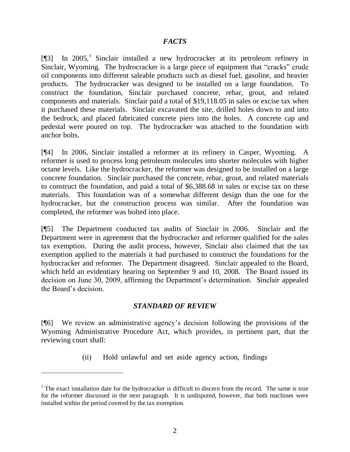## *FACTS*

 $[\![\mathcal{F}]$  In 2005,<sup>1</sup> Sinclair installed a new hydrocracker at its petroleum refinery in Sinclair, Wyoming. The hydrocracker is a large piece of equipment that "cracks" crude oil components into different saleable products such as diesel fuel, gasoline, and heavier products. The hydrocracker was designed to be installed on a large foundation. To construct the foundation, Sinclair purchased concrete, rebar, grout, and related components and materials. Sinclair paid a total of \$19,118.05 in sales or excise tax when it purchased these materials. Sinclair excavated the site, drilled holes down to and into the bedrock, and placed fabricated concrete piers into the holes. A concrete cap and pedestal were poured on top. The hydrocracker was attached to the foundation with anchor bolts.

[¶4] In 2006, Sinclair installed a reformer at its refinery in Casper, Wyoming. A reformer is used to process long petroleum molecules into shorter molecules with higher octane levels. Like the hydrocracker, the reformer was designed to be installed on a large concrete foundation. Sinclair purchased the concrete, rebar, grout, and related materials to construct the foundation, and paid a total of \$6,388.68 in sales or excise tax on these materials. This foundation was of a somewhat different design than the one for the hydrocracker, but the construction process was similar. After the foundation was completed, the reformer was bolted into place.

[¶5] The Department conducted tax audits of Sinclair in 2006. Sinclair and the Department were in agreement that the hydrocracker and reformer qualified for the sales tax exemption. During the audit process, however, Sinclair also claimed that the tax exemption applied to the materials it had purchased to construct the foundations for the hydrocracker and reformer. The Department disagreed. Sinclair appealed to the Board, which held an evidentiary hearing on September 9 and 10, 2008. The Board issued its decision on June 30, 2009, affirming the Department's determination. Sinclair appealed the Board"s decision.

### *STANDARD OF REVIEW*

[¶6] We review an administrative agency"s decision following the provisions of the Wyoming Administrative Procedure Act, which provides, in pertinent part, that the reviewing court shall:

(ii) Hold unlawful and set aside agency action, findings

 $1$ <sup>1</sup> The exact installation date for the hydrocracker is difficult to discern from the record. The same is true for the reformer discussed in the next paragraph. It is undisputed, however, that both machines were installed within the period covered by the tax exemption.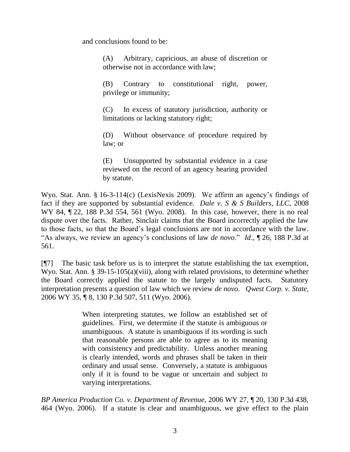and conclusions found to be:

(A) Arbitrary, capricious, an abuse of discretion or otherwise not in accordance with law;

(B) Contrary to constitutional right, power, privilege or immunity;

(C) In excess of statutory jurisdiction, authority or limitations or lacking statutory right;

(D) Without observance of procedure required by law; or

(E) Unsupported by substantial evidence in a case reviewed on the record of an agency hearing provided by statute.

Wyo. Stat. Ann. § 16-3-114(c) (LexisNexis 2009). We affirm an agency's findings of fact if they are supported by substantial evidence. *Dale v. S & S Builders, LLC*, 2008 WY 84, ¶ 22, 188 P.3d 554, 561 (Wyo. 2008). In this case, however, there is no real dispute over the facts. Rather, Sinclair claims that the Board incorrectly applied the law to those facts, so that the Board"s legal conclusions are not in accordance with the law. "As always, we review an agency"s conclusions of law *de novo*." *Id*., ¶ 26, 188 P.3d at 561.

[¶7] The basic task before us is to interpret the statute establishing the tax exemption, Wyo. Stat. Ann. § 39-15-105(a)(viii), along with related provisions, to determine whether the Board correctly applied the statute to the largely undisputed facts. Statutory interpretation presents a question of law which we review *de novo*. *Qwest Corp. v. State*, 2006 WY 35, ¶ 8, 130 P.3d 507, 511 (Wyo. 2006).

> When interpreting statutes, we follow an established set of guidelines. First, we determine if the statute is ambiguous or unambiguous. A statute is unambiguous if its wording is such that reasonable persons are able to agree as to its meaning with consistency and predictability. Unless another meaning is clearly intended, words and phrases shall be taken in their ordinary and usual sense. Conversely, a statute is ambiguous only if it is found to be vague or uncertain and subject to varying interpretations.

*BP America Production Co. v. Department of Revenue*, 2006 WY 27, ¶ 20, 130 P.3d 438, 464 (Wyo. 2006). If a statute is clear and unambiguous, we give effect to the plain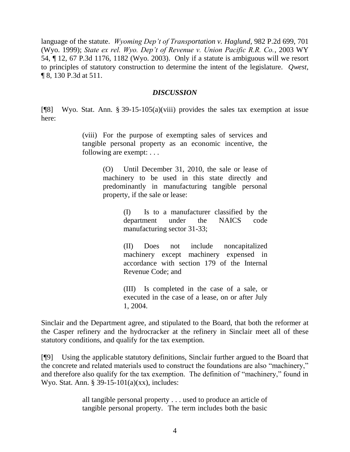language of the statute. *Wyoming Dep't of Transportation v. Haglund*, 982 P.2d 699, 701 (Wyo. 1999); *State ex rel. Wyo. Dep't of Revenue v. Union Pacific R.R. Co.*, 2003 WY 54, ¶ 12, 67 P.3d 1176, 1182 (Wyo. 2003). Only if a statute is ambiguous will we resort to principles of statutory construction to determine the intent of the legislature. *Qwest*, ¶ 8, 130 P.3d at 511.

#### *DISCUSSION*

[¶8] Wyo. Stat. Ann. § 39-15-105(a)(viii) provides the sales tax exemption at issue here:

> (viii) For the purpose of exempting sales of services and tangible personal property as an economic incentive, the following are exempt: . . .

> > (O) Until December 31, 2010, the sale or lease of machinery to be used in this state directly and predominantly in manufacturing tangible personal property, if the sale or lease:

> > > (I) Is to a manufacturer classified by the department under the NAICS code manufacturing sector 31-33;

> > > (II) Does not include noncapitalized machinery except machinery expensed in accordance with section 179 of the Internal Revenue Code; and

> > > (III) Is completed in the case of a sale, or executed in the case of a lease, on or after July 1, 2004.

Sinclair and the Department agree, and stipulated to the Board, that both the reformer at the Casper refinery and the hydrocracker at the refinery in Sinclair meet all of these statutory conditions, and qualify for the tax exemption.

[¶9] Using the applicable statutory definitions, Sinclair further argued to the Board that the concrete and related materials used to construct the foundations are also "machinery," and therefore also qualify for the tax exemption. The definition of "machinery," found in Wyo. Stat. Ann. § 39-15-101(a)(xx), includes:

> all tangible personal property . . . used to produce an article of tangible personal property. The term includes both the basic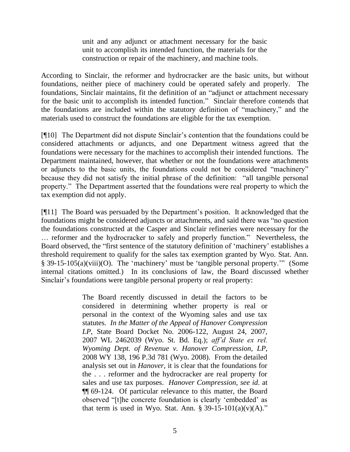unit and any adjunct or attachment necessary for the basic unit to accomplish its intended function, the materials for the construction or repair of the machinery, and machine tools.

According to Sinclair, the reformer and hydrocracker are the basic units, but without foundations, neither piece of machinery could be operated safely and properly. The foundations, Sinclair maintains, fit the definition of an "adjunct or attachment necessary for the basic unit to accomplish its intended function." Sinclair therefore contends that the foundations are included within the statutory definition of "machinery," and the materials used to construct the foundations are eligible for the tax exemption.

[¶10] The Department did not dispute Sinclair"s contention that the foundations could be considered attachments or adjuncts, and one Department witness agreed that the foundations were necessary for the machines to accomplish their intended functions. The Department maintained, however, that whether or not the foundations were attachments or adjuncts to the basic units, the foundations could not be considered "machinery" because they did not satisfy the initial phrase of the definition: "all tangible personal property." The Department asserted that the foundations were real property to which the tax exemption did not apply.

[¶11] The Board was persuaded by the Department"s position. It acknowledged that the foundations might be considered adjuncts or attachments, and said there was "no question the foundations constructed at the Casper and Sinclair refineries were necessary for the … reformer and the hydrocracker to safely and properly function." Nevertheless, the Board observed, the "first sentence of the statutory definition of "machinery" establishes a threshold requirement to qualify for the sales tax exemption granted by Wyo. Stat. Ann. § 39-15-105(a)(viii)(O). The "machinery" must be "tangible personal property."" (Some internal citations omitted.) In its conclusions of law, the Board discussed whether Sinclair's foundations were tangible personal property or real property:

> The Board recently discussed in detail the factors to be considered in determining whether property is real or personal in the context of the Wyoming sales and use tax statutes. *In the Matter of the Appeal of Hanover Compression LP*, State Board Docket No. 2006-122, August 24, 2007, 2007 WL 2462039 (Wyo. St. Bd. Eq.); *aff'd State ex rel. Wyoming Dept. of Revenue v. Hanover Compression, LP*, 2008 WY 138, 196 P.3d 781 (Wyo. 2008). From the detailed analysis set out in *Hanover*, it is clear that the foundations for the . . . reformer and the hydrocracker are real property for sales and use tax purposes. *Hanover Compression*, *see id*. at ¶¶ 69-124. Of particular relevance to this matter, the Board observed "[t]he concrete foundation is clearly "embedded" as that term is used in Wyo. Stat. Ann.  $\S 39-15-101(a)(v)(A)$ ."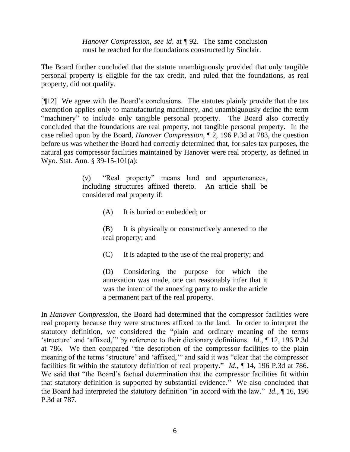*Hanover Compression*, *see id*. at ¶ 92. The same conclusion must be reached for the foundations constructed by Sinclair.

The Board further concluded that the statute unambiguously provided that only tangible personal property is eligible for the tax credit, and ruled that the foundations, as real property, did not qualify.

[¶12] We agree with the Board"s conclusions. The statutes plainly provide that the tax exemption applies only to manufacturing machinery, and unambiguously define the term "machinery" to include only tangible personal property. The Board also correctly concluded that the foundations are real property, not tangible personal property. In the case relied upon by the Board, *Hanover Compression*, ¶ 2, 196 P.3d at 783, the question before us was whether the Board had correctly determined that, for sales tax purposes, the natural gas compressor facilities maintained by Hanover were real property, as defined in Wyo. Stat. Ann. § 39-15-101(a):

> (v) "Real property" means land and appurtenances, including structures affixed thereto. An article shall be considered real property if:

> > (A) It is buried or embedded; or

(B) It is physically or constructively annexed to the real property; and

(C) It is adapted to the use of the real property; and

(D) Considering the purpose for which the annexation was made, one can reasonably infer that it was the intent of the annexing party to make the article a permanent part of the real property.

In *Hanover Compression*, the Board had determined that the compressor facilities were real property because they were structures affixed to the land. In order to interpret the statutory definition, we considered the "plain and ordinary meaning of the terms "structure" and "affixed,"" by reference to their dictionary definitions. *Id*., ¶ 12, 196 P.3d at 786. We then compared "the description of the compressor facilities to the plain meaning of the terms 'structure' and 'affixed," and said it was "clear that the compressor facilities fit within the statutory definition of real property." *Id*., ¶ 14, 196 P.3d at 786. We said that "the Board"s factual determination that the compressor facilities fit within that statutory definition is supported by substantial evidence.<sup>"</sup> We also concluded that the Board had interpreted the statutory definition "in accord with the law." *Id*., ¶ 16, 196 P.3d at 787.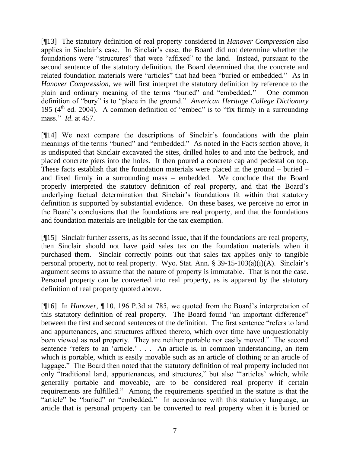[¶13] The statutory definition of real property considered in *Hanover Compression* also applies in Sinclair"s case. In Sinclair"s case, the Board did not determine whether the foundations were "structures" that were "affixed" to the land. Instead, pursuant to the second sentence of the statutory definition, the Board determined that the concrete and related foundation materials were "articles" that had been "buried or embedded." As in *Hanover Compression*, we will first interpret the statutory definition by reference to the plain and ordinary meaning of the terms "buried" and "embedded." One common definition of "bury" is to "place in the ground." *American Heritage College Dictionary* 195 ( $4<sup>th</sup>$  ed. 2004). A common definition of "embed" is to "fix firmly in a surrounding mass." *Id*. at 457.

[¶14] We next compare the descriptions of Sinclair"s foundations with the plain meanings of the terms "buried" and "embedded." As noted in the Facts section above, it is undisputed that Sinclair excavated the sites, drilled holes to and into the bedrock, and placed concrete piers into the holes. It then poured a concrete cap and pedestal on top. These facts establish that the foundation materials were placed in the ground – buried – and fixed firmly in a surrounding mass – embedded. We conclude that the Board properly interpreted the statutory definition of real property, and that the Board"s underlying factual determination that Sinclair's foundations fit within that statutory definition is supported by substantial evidence. On these bases, we perceive no error in the Board"s conclusions that the foundations are real property, and that the foundations and foundation materials are ineligible for the tax exemption.

[¶15] Sinclair further asserts, as its second issue, that if the foundations are real property, then Sinclair should not have paid sales tax on the foundation materials when it purchased them. Sinclair correctly points out that sales tax applies only to tangible personal property, not to real property. Wyo. Stat. Ann.  $\S 39-15-103(a)(i)(A)$ . Sinclair's argument seems to assume that the nature of property is immutable. That is not the case. Personal property can be converted into real property, as is apparent by the statutory definition of real property quoted above.

[¶16] In *Hanover*, ¶ 10, 196 P.3d at 785, we quoted from the Board"s interpretation of this statutory definition of real property. The Board found "an important difference" between the first and second sentences of the definition. The first sentence "refers to land and appurtenances, and structures affixed thereto, which over time have unquestionably been viewed as real property. They are neither portable nor easily moved." The second sentence "refers to an 'article." . . . An article is, in common understanding, an item which is portable, which is easily movable such as an article of clothing or an article of luggage." The Board then noted that the statutory definition of real property included not only "traditional land, appurtenances, and structures," but also ""articles" which, while generally portable and moveable, are to be considered real property if certain requirements are fulfilled." Among the requirements specified in the statute is that the "article" be "buried" or "embedded." In accordance with this statutory language, an article that is personal property can be converted to real property when it is buried or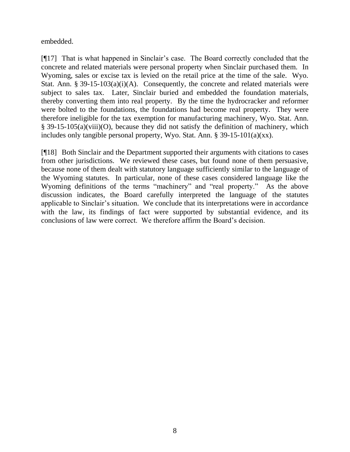embedded.

[¶17] That is what happened in Sinclair"s case. The Board correctly concluded that the concrete and related materials were personal property when Sinclair purchased them. In Wyoming, sales or excise tax is levied on the retail price at the time of the sale. Wyo. Stat. Ann. § 39-15-103(a)(i)(A). Consequently, the concrete and related materials were subject to sales tax. Later, Sinclair buried and embedded the foundation materials, thereby converting them into real property. By the time the hydrocracker and reformer were bolted to the foundations, the foundations had become real property. They were therefore ineligible for the tax exemption for manufacturing machinery, Wyo. Stat. Ann. § 39-15-105(a)(viii)(O), because they did not satisfy the definition of machinery, which includes only tangible personal property, Wyo. Stat. Ann. § 39-15-101(a)(xx).

[¶18] Both Sinclair and the Department supported their arguments with citations to cases from other jurisdictions. We reviewed these cases, but found none of them persuasive, because none of them dealt with statutory language sufficiently similar to the language of the Wyoming statutes. In particular, none of these cases considered language like the Wyoming definitions of the terms "machinery" and "real property." As the above discussion indicates, the Board carefully interpreted the language of the statutes applicable to Sinclair's situation. We conclude that its interpretations were in accordance with the law, its findings of fact were supported by substantial evidence, and its conclusions of law were correct. We therefore affirm the Board"s decision.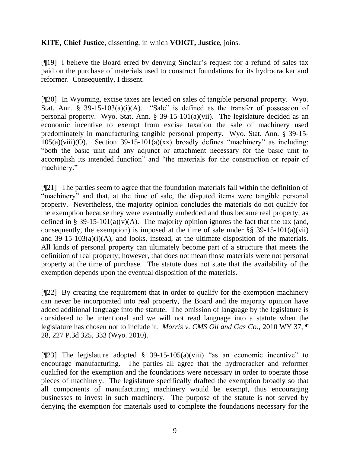## **KITE, Chief Justice**, dissenting, in which **VOIGT, Justice**, joins.

[¶19] I believe the Board erred by denying Sinclair"s request for a refund of sales tax paid on the purchase of materials used to construct foundations for its hydrocracker and reformer. Consequently, I dissent.

[¶20] In Wyoming, excise taxes are levied on sales of tangible personal property. Wyo. Stat. Ann. § 39-15-103(a)(i)(A). "Sale" is defined as the transfer of possession of personal property. Wyo. Stat. Ann. § 39-15-101(a)(vii). The legislature decided as an economic incentive to exempt from excise taxation the sale of machinery used predominately in manufacturing tangible personal property. Wyo. Stat. Ann. § 39-15-  $105(a)(viii)(O)$ . Section 39-15-101(a)(xx) broadly defines "machinery" as including: "both the basic unit and any adjunct or attachment necessary for the basic unit to accomplish its intended function" and "the materials for the construction or repair of machinery."

[¶21] The parties seem to agree that the foundation materials fall within the definition of "machinery" and that, at the time of sale, the disputed items were tangible personal property. Nevertheless, the majority opinion concludes the materials do not qualify for the exemption because they were eventually embedded and thus became real property, as defined in § 39-15-101(a)(v)(A). The majority opinion ignores the fact that the tax (and, consequently, the exemption) is imposed at the time of sale under  $\S$ § 39-15-101(a)(vii) and 39-15-103(a)(i)(A), and looks, instead, at the ultimate disposition of the materials. All kinds of personal property can ultimately become part of a structure that meets the definition of real property; however, that does not mean those materials were not personal property at the time of purchase. The statute does not state that the availability of the exemption depends upon the eventual disposition of the materials.

[¶22] By creating the requirement that in order to qualify for the exemption machinery can never be incorporated into real property, the Board and the majority opinion have added additional language into the statute. The omission of language by the legislature is considered to be intentional and we will not read language into a statute when the legislature has chosen not to include it. *Morris v. CMS Oil and Gas Co.,* 2010 WY 37, ¶ 28, 227 P.3d 325, 333 (Wyo. 2010).

[¶23] The legislature adopted § 39-15-105(a)(viii) "as an economic incentive" to encourage manufacturing. The parties all agree that the hydrocracker and reformer qualified for the exemption and the foundations were necessary in order to operate those pieces of machinery. The legislature specifically drafted the exemption broadly so that all components of manufacturing machinery would be exempt, thus encouraging businesses to invest in such machinery. The purpose of the statute is not served by denying the exemption for materials used to complete the foundations necessary for the